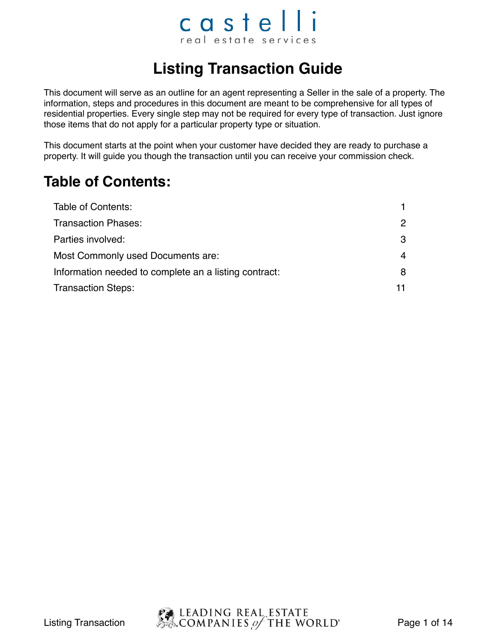#### castelli real estate services

#### **Listing Transaction Guide**

This document will serve as an outline for an agent representing a Seller in the sale of a property. The information, steps and procedures in this document are meant to be comprehensive for all types of residential properties. Every single step may not be required for every type of transaction. Just ignore those items that do not apply for a particular property type or situation.

This document starts at the point when your customer have decided they are ready to purchase a property. It will guide you though the transaction until you can receive your commission check.

#### **Table of Contents:**

| Table of Contents:                                    |               |
|-------------------------------------------------------|---------------|
| <b>Transaction Phases:</b>                            | $\mathcal{P}$ |
| Parties involved:                                     | 3             |
| Most Commonly used Documents are:                     | 4             |
| Information needed to complete an a listing contract: | 8             |
| <b>Transaction Steps:</b>                             | 11.           |

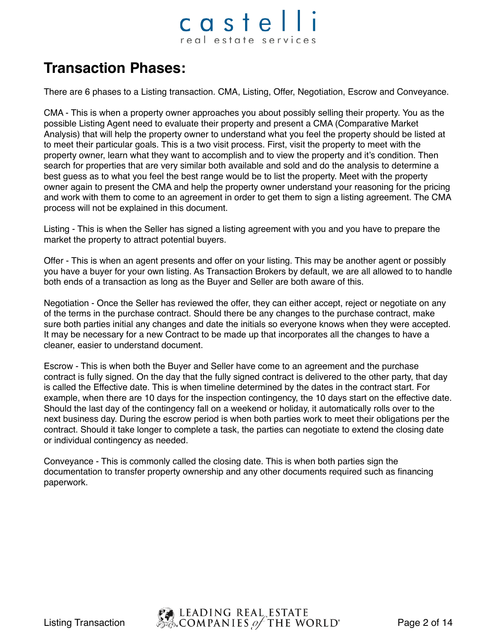### castelli real estate services

#### **Transaction Phases:**

There are 6 phases to a Listing transaction. CMA, Listing, Offer, Negotiation, Escrow and Conveyance.

CMA - This is when a property owner approaches you about possibly selling their property. You as the possible Listing Agent need to evaluate their property and present a CMA (Comparative Market Analysis) that will help the property owner to understand what you feel the property should be listed at to meet their particular goals. This is a two visit process. First, visit the property to meet with the property owner, learn what they want to accomplish and to view the property and it's condition. Then search for properties that are very similar both available and sold and do the analysis to determine a best guess as to what you feel the best range would be to list the property. Meet with the property owner again to present the CMA and help the property owner understand your reasoning for the pricing and work with them to come to an agreement in order to get them to sign a listing agreement. The CMA process will not be explained in this document.

Listing - This is when the Seller has signed a listing agreement with you and you have to prepare the market the property to attract potential buyers.

Offer - This is when an agent presents and offer on your listing. This may be another agent or possibly you have a buyer for your own listing. As Transaction Brokers by default, we are all allowed to to handle both ends of a transaction as long as the Buyer and Seller are both aware of this.

Negotiation - Once the Seller has reviewed the offer, they can either accept, reject or negotiate on any of the terms in the purchase contract. Should there be any changes to the purchase contract, make sure both parties initial any changes and date the initials so everyone knows when they were accepted. It may be necessary for a new Contract to be made up that incorporates all the changes to have a cleaner, easier to understand document.

Escrow - This is when both the Buyer and Seller have come to an agreement and the purchase contract is fully signed. On the day that the fully signed contract is delivered to the other party, that day is called the Effective date. This is when timeline determined by the dates in the contract start. For example, when there are 10 days for the inspection contingency, the 10 days start on the effective date. Should the last day of the contingency fall on a weekend or holiday, it automatically rolls over to the next business day. During the escrow period is when both parties work to meet their obligations per the contract. Should it take longer to complete a task, the parties can negotiate to extend the closing date or individual contingency as needed.

Conveyance - This is commonly called the closing date. This is when both parties sign the documentation to transfer property ownership and any other documents required such as financing paperwork.

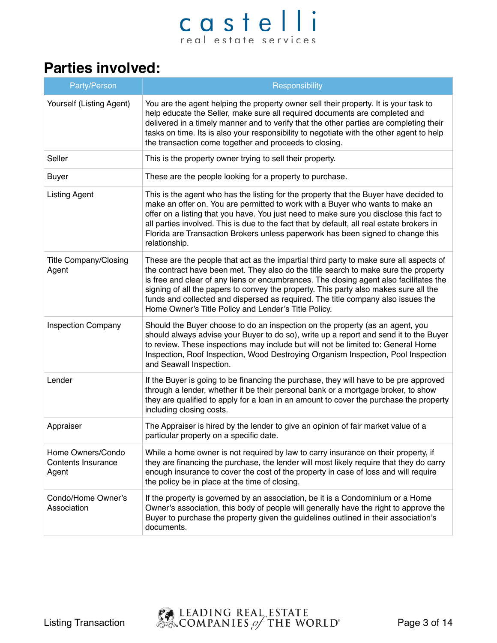#### **Parties involved:**

| Party/Person                                            | Responsibility                                                                                                                                                                                                                                                                                                                                                                                                                                                                                              |
|---------------------------------------------------------|-------------------------------------------------------------------------------------------------------------------------------------------------------------------------------------------------------------------------------------------------------------------------------------------------------------------------------------------------------------------------------------------------------------------------------------------------------------------------------------------------------------|
| Yourself (Listing Agent)                                | You are the agent helping the property owner sell their property. It is your task to<br>help educate the Seller, make sure all required documents are completed and<br>delivered in a timely manner and to verify that the other parties are completing their<br>tasks on time. Its is also your responsibility to negotiate with the other agent to help<br>the transaction come together and proceeds to closing.                                                                                         |
| Seller                                                  | This is the property owner trying to sell their property.                                                                                                                                                                                                                                                                                                                                                                                                                                                   |
| <b>Buyer</b>                                            | These are the people looking for a property to purchase.                                                                                                                                                                                                                                                                                                                                                                                                                                                    |
| <b>Listing Agent</b>                                    | This is the agent who has the listing for the property that the Buyer have decided to<br>make an offer on. You are permitted to work with a Buyer who wants to make an<br>offer on a listing that you have. You just need to make sure you disclose this fact to<br>all parties involved. This is due to the fact that by default, all real estate brokers in<br>Florida are Transaction Brokers unless paperwork has been signed to change this<br>relationship.                                           |
| <b>Title Company/Closing</b><br>Agent                   | These are the people that act as the impartial third party to make sure all aspects of<br>the contract have been met. They also do the title search to make sure the property<br>is free and clear of any liens or encumbrances. The closing agent also facilitates the<br>signing of all the papers to convey the property. This party also makes sure all the<br>funds and collected and dispersed as required. The title company also issues the<br>Home Owner's Title Policy and Lender's Title Policy. |
| <b>Inspection Company</b>                               | Should the Buyer choose to do an inspection on the property (as an agent, you<br>should always advise your Buyer to do so), write up a report and send it to the Buyer<br>to review. These inspections may include but will not be limited to: General Home<br>Inspection, Roof Inspection, Wood Destroying Organism Inspection, Pool Inspection<br>and Seawall Inspection.                                                                                                                                 |
| Lender                                                  | If the Buyer is going to be financing the purchase, they will have to be pre approved<br>through a lender, whether it be their personal bank or a mortgage broker, to show<br>they are qualified to apply for a loan in an amount to cover the purchase the property<br>including closing costs.                                                                                                                                                                                                            |
| Appraiser                                               | The Appraiser is hired by the lender to give an opinion of fair market value of a<br>particular property on a specific date.                                                                                                                                                                                                                                                                                                                                                                                |
| Home Owners/Condo<br><b>Contents Insurance</b><br>Agent | While a home owner is not required by law to carry insurance on their property, if<br>they are financing the purchase, the lender will most likely require that they do carry<br>enough insurance to cover the cost of the property in case of loss and will require<br>the policy be in place at the time of closing.                                                                                                                                                                                      |
| Condo/Home Owner's<br>Association                       | If the property is governed by an association, be it is a Condominium or a Home<br>Owner's association, this body of people will generally have the right to approve the<br>Buyer to purchase the property given the guidelines outlined in their association's<br>documents.                                                                                                                                                                                                                               |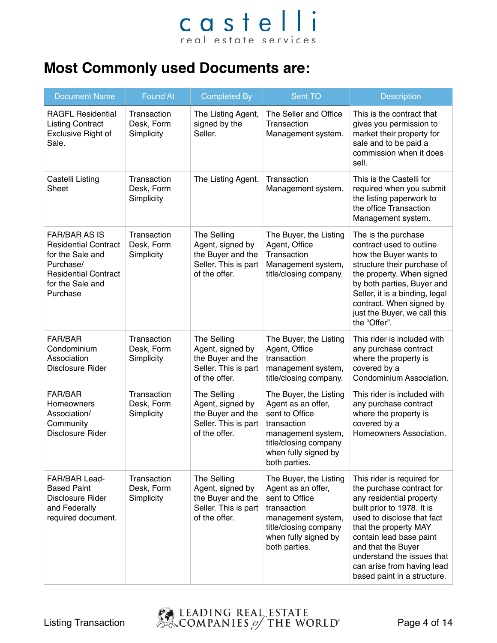#### **Most Commonly used Documents are:**

| <b>Document Name</b>                                                                                                                                | <b>Found At</b>                         | <b>Completed By</b>                                                                           | Sent TO                                                                                                                                                               | <b>Description</b>                                                                                                                                                                                                                                                                                                   |
|-----------------------------------------------------------------------------------------------------------------------------------------------------|-----------------------------------------|-----------------------------------------------------------------------------------------------|-----------------------------------------------------------------------------------------------------------------------------------------------------------------------|----------------------------------------------------------------------------------------------------------------------------------------------------------------------------------------------------------------------------------------------------------------------------------------------------------------------|
| <b>RAGFL Residential</b><br><b>Listing Contract</b><br><b>Exclusive Right of</b><br>Sale.                                                           | Transaction<br>Desk, Form<br>Simplicity | The Listing Agent,<br>signed by the<br>Seller.                                                | The Seller and Office<br>Transaction<br>Management system.                                                                                                            | This is the contract that<br>gives you permission to<br>market their property for<br>sale and to be paid a<br>commission when it does<br>sell.                                                                                                                                                                       |
| Castelli Listing<br>Sheet                                                                                                                           | Transaction<br>Desk, Form<br>Simplicity | The Listing Agent.                                                                            | Transaction<br>Management system.                                                                                                                                     | This is the Castelli for<br>required when you submit<br>the listing paperwork to<br>the office Transaction<br>Management system.                                                                                                                                                                                     |
| <b>FAR/BAR AS IS</b><br><b>Residential Contract</b><br>for the Sale and<br>Purchase/<br><b>Residential Contract</b><br>for the Sale and<br>Purchase | Transaction<br>Desk, Form<br>Simplicity | The Selling<br>Agent, signed by<br>the Buyer and the<br>Seller. This is part<br>of the offer. | The Buyer, the Listing<br>Agent, Office<br>Transaction<br>Management system,<br>title/closing company.                                                                | The is the purchase<br>contract used to outline<br>how the Buyer wants to<br>structure their purchase of<br>the property. When signed<br>by both parties, Buyer and<br>Seller, it is a binding, legal<br>contract. When signed by<br>just the Buyer, we call this<br>the "Offer".                                    |
| <b>FAR/BAR</b><br>Condominium<br>Association<br><b>Disclosure Rider</b>                                                                             | Transaction<br>Desk, Form<br>Simplicity | The Selling<br>Agent, signed by<br>the Buyer and the<br>Seller. This is part<br>of the offer. | The Buyer, the Listing<br>Agent, Office<br>transaction<br>management system,<br>title/closing company.                                                                | This rider is included with<br>any purchase contract<br>where the property is<br>covered by a<br>Condominium Association.                                                                                                                                                                                            |
| <b>FAR/BAR</b><br><b>Homeowners</b><br>Association/<br>Community<br><b>Disclosure Rider</b>                                                         | Transaction<br>Desk, Form<br>Simplicity | The Selling<br>Agent, signed by<br>the Buyer and the<br>Seller. This is part<br>of the offer. | The Buyer, the Listing<br>Agent as an offer,<br>sent to Office<br>transaction<br>management system,<br>title/closing company<br>when fully signed by<br>both parties. | This rider is included with<br>any purchase contract<br>where the property is<br>covered by a<br>Homeowners Association.                                                                                                                                                                                             |
| FAR/BAR Lead-<br><b>Based Paint</b><br><b>Disclosure Rider</b><br>and Federally<br>required document.                                               | Transaction<br>Desk, Form<br>Simplicity | The Selling<br>Agent, signed by<br>the Buyer and the<br>Seller. This is part<br>of the offer. | The Buyer, the Listing<br>Agent as an offer,<br>sent to Office<br>transaction<br>management system,<br>title/closing company<br>when fully signed by<br>both parties. | This rider is required for<br>the purchase contract for<br>any residential property<br>built prior to 1978. It is<br>used to disclose that fact<br>that the property MAY<br>contain lead base paint<br>and that the Buyer<br>understand the issues that<br>can arise from having lead<br>based paint in a structure. |

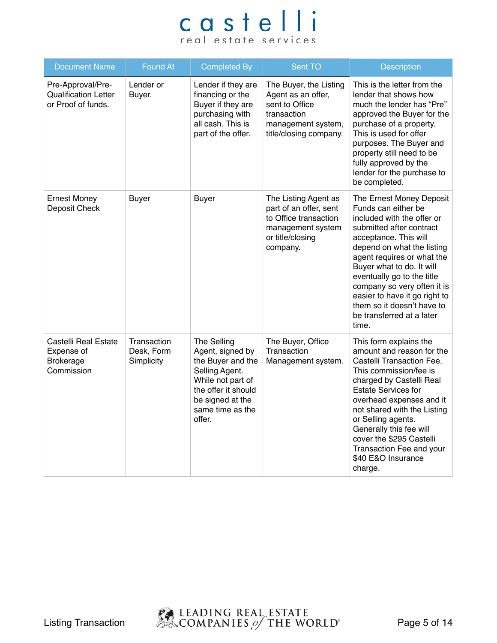| <b>Document Name</b>                                                        | <b>Found At</b>                         | <b>Completed By</b>                                                                                                                                                  | Sent TO                                                                                                                       | Description                                                                                                                                                                                                                                                                                                                                                                                   |
|-----------------------------------------------------------------------------|-----------------------------------------|----------------------------------------------------------------------------------------------------------------------------------------------------------------------|-------------------------------------------------------------------------------------------------------------------------------|-----------------------------------------------------------------------------------------------------------------------------------------------------------------------------------------------------------------------------------------------------------------------------------------------------------------------------------------------------------------------------------------------|
| Pre-Approval/Pre-<br><b>Qualification Letter</b><br>or Proof of funds.      | Lender or<br>Buyer.                     | Lender if they are<br>financing or the<br>Buyer if they are<br>purchasing with<br>all cash. This is<br>part of the offer.                                            | The Buyer, the Listing<br>Agent as an offer,<br>sent to Office<br>transaction<br>management system,<br>title/closing company. | This is the letter from the<br>lender that shows how<br>much the lender has "Pre"<br>approved the Buyer for the<br>purchase of a property.<br>This is used for offer<br>purposes. The Buyer and<br>property still need to be<br>fully approved by the<br>lender for the purchase to<br>be completed.                                                                                          |
| <b>Ernest Money</b><br>Deposit Check                                        | <b>Buyer</b>                            | <b>Buyer</b>                                                                                                                                                         | The Listing Agent as<br>part of an offer, sent<br>to Office transaction<br>management system<br>or title/closing<br>company.  | The Ernest Money Deposit<br>Funds can either be<br>included with the offer or<br>submitted after contract<br>acceptance. This will<br>depend on what the listing<br>agent requires or what the<br>Buyer what to do. It will<br>eventually go to the title<br>company so very often it is<br>easier to have it go right to<br>them so it doesn't have to<br>be transferred at a later<br>time. |
| <b>Castelli Real Estate</b><br>Expense of<br><b>Brokerage</b><br>Commission | Transaction<br>Desk, Form<br>Simplicity | The Selling<br>Agent, signed by<br>the Buyer and the<br>Selling Agent.<br>While not part of<br>the offer it should<br>be signed at the<br>same time as the<br>offer. | The Buyer, Office<br>Transaction<br>Management system.                                                                        | This form explains the<br>amount and reason for the<br>Castelli Transaction Fee.<br>This commission/fee is<br>charged by Castelli Real<br><b>Estate Services for</b><br>overhead expenses and it<br>not shared with the Listing<br>or Selling agents.<br>Generally this fee will<br>cover the \$295 Castelli<br>Transaction Fee and your<br>\$40 E&O Insurance<br>charge.                     |

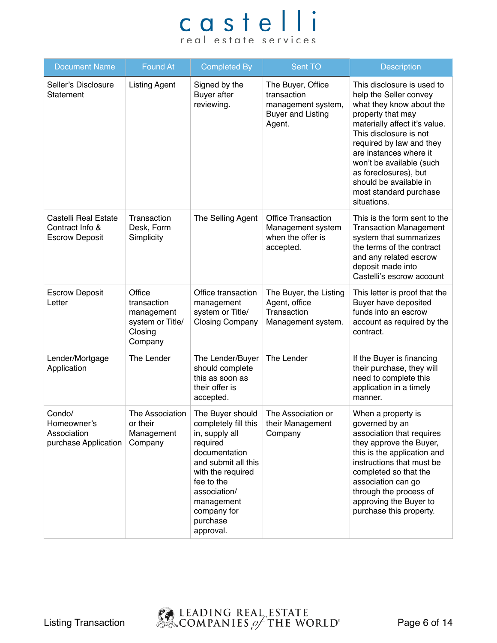| <b>Document Name</b>                                             | <b>Found At</b>                                                               | <b>Completed By</b>                                                                                                                                                                                                     | Sent TO                                                                                      | <b>Description</b>                                                                                                                                                                                                                                                                                                                             |
|------------------------------------------------------------------|-------------------------------------------------------------------------------|-------------------------------------------------------------------------------------------------------------------------------------------------------------------------------------------------------------------------|----------------------------------------------------------------------------------------------|------------------------------------------------------------------------------------------------------------------------------------------------------------------------------------------------------------------------------------------------------------------------------------------------------------------------------------------------|
| Seller's Disclosure<br>Statement                                 | <b>Listing Agent</b>                                                          | Signed by the<br><b>Buyer</b> after<br>reviewing.                                                                                                                                                                       | The Buyer, Office<br>transaction<br>management system,<br><b>Buyer and Listing</b><br>Agent. | This disclosure is used to<br>help the Seller convey<br>what they know about the<br>property that may<br>materially affect it's value.<br>This disclosure is not<br>required by law and they<br>are instances where it<br>won't be available (such<br>as foreclosures), but<br>should be available in<br>most standard purchase<br>situations. |
| Castelli Real Estate<br>Contract Info &<br><b>Escrow Deposit</b> | Transaction<br>Desk, Form<br>Simplicity                                       | The Selling Agent                                                                                                                                                                                                       | <b>Office Transaction</b><br>Management system<br>when the offer is<br>accepted.             | This is the form sent to the<br><b>Transaction Management</b><br>system that summarizes<br>the terms of the contract<br>and any related escrow<br>deposit made into<br>Castelli's escrow account                                                                                                                                               |
| <b>Escrow Deposit</b><br>Letter                                  | Office<br>transaction<br>management<br>system or Title/<br>Closing<br>Company | Office transaction<br>management<br>system or Title/<br><b>Closing Company</b>                                                                                                                                          | The Buyer, the Listing<br>Agent, office<br>Transaction<br>Management system.                 | This letter is proof that the<br>Buyer have deposited<br>funds into an escrow<br>account as required by the<br>contract.                                                                                                                                                                                                                       |
| Lender/Mortgage<br>Application                                   | The Lender                                                                    | The Lender/Buyer<br>should complete<br>this as soon as<br>their offer is<br>accepted.                                                                                                                                   | The Lender                                                                                   | If the Buyer is financing<br>their purchase, they will<br>need to complete this<br>application in a timely<br>manner.                                                                                                                                                                                                                          |
| Condo/<br>Homeowner's<br>Association<br>purchase Application     | The Association<br>or their<br>Management<br>Company                          | The Buyer should<br>completely fill this<br>in, supply all<br>required<br>documentation<br>and submit all this<br>with the required<br>fee to the<br>association/<br>management<br>company for<br>purchase<br>approval. | The Association or<br>their Management<br>Company                                            | When a property is<br>governed by an<br>association that requires<br>they approve the Buyer,<br>this is the application and<br>instructions that must be<br>completed so that the<br>association can go<br>through the process of<br>approving the Buyer to<br>purchase this property.                                                         |

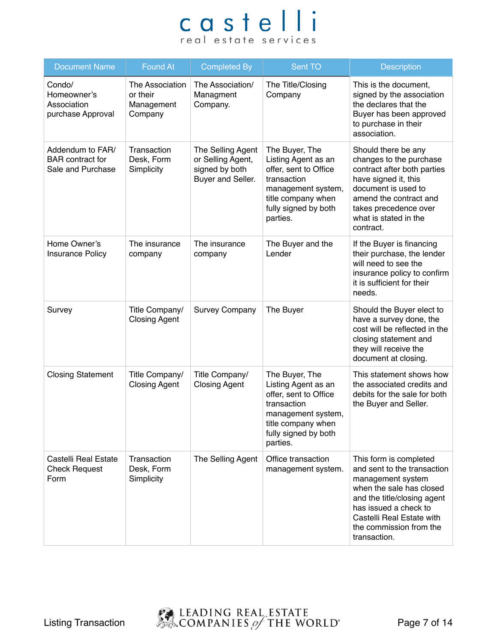| <b>Document Name</b>                                             | <b>Found At</b>                                      | <b>Completed By</b>                                                           | Sent TO                                                                                                                                                       | <b>Description</b>                                                                                                                                                                                                                     |
|------------------------------------------------------------------|------------------------------------------------------|-------------------------------------------------------------------------------|---------------------------------------------------------------------------------------------------------------------------------------------------------------|----------------------------------------------------------------------------------------------------------------------------------------------------------------------------------------------------------------------------------------|
| Condo/<br>Homeowner's<br>Association<br>purchase Approval        | The Association<br>or their<br>Management<br>Company | The Association/<br>Managment<br>Company.                                     | The Title/Closing<br>Company                                                                                                                                  | This is the document,<br>signed by the association<br>the declares that the<br>Buyer has been approved<br>to purchase in their<br>association.                                                                                         |
| Addendum to FAR/<br><b>BAR</b> contract for<br>Sale and Purchase | Transaction<br>Desk, Form<br>Simplicity              | The Selling Agent<br>or Selling Agent,<br>signed by both<br>Buyer and Seller. | The Buyer, The<br>Listing Agent as an<br>offer, sent to Office<br>transaction<br>management system,<br>title company when<br>fully signed by both<br>parties. | Should there be any<br>changes to the purchase<br>contract after both parties<br>have signed it, this<br>document is used to<br>amend the contract and<br>takes precedence over<br>what is stated in the<br>contract.                  |
| Home Owner's<br><b>Insurance Policy</b>                          | The insurance<br>company                             | The insurance<br>company                                                      | The Buyer and the<br>Lender                                                                                                                                   | If the Buyer is financing<br>their purchase, the lender<br>will need to see the<br>insurance policy to confirm<br>it is sufficient for their<br>needs.                                                                                 |
| Survey                                                           | Title Company/<br><b>Closing Agent</b>               | <b>Survey Company</b>                                                         | The Buyer                                                                                                                                                     | Should the Buyer elect to<br>have a survey done, the<br>cost will be reflected in the<br>closing statement and<br>they will receive the<br>document at closing.                                                                        |
| <b>Closing Statement</b>                                         | Title Company/<br><b>Closing Agent</b>               | Title Company/<br><b>Closing Agent</b>                                        | The Buyer, The<br>Listing Agent as an<br>offer, sent to Office<br>transaction<br>management system,<br>title company when<br>fully signed by both<br>parties. | This statement shows how<br>the associated credits and<br>debits for the sale for both<br>the Buyer and Seller.                                                                                                                        |
| Castelli Real Estate<br><b>Check Request</b><br>Form             | Transaction<br>Desk, Form<br>Simplicity              | The Selling Agent                                                             | Office transaction<br>management system.                                                                                                                      | This form is completed<br>and sent to the transaction<br>management system<br>when the sale has closed<br>and the title/closing agent<br>has issued a check to<br>Castelli Real Estate with<br>the commission from the<br>transaction. |

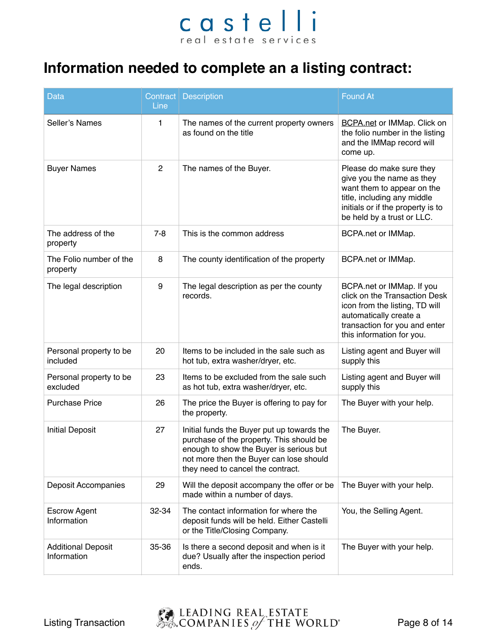#### **Information needed to complete an a listing contract:**

| <b>Data</b>                              | Line           | Contract   Description                                                                                                                                                                                            | <b>Found At</b>                                                                                                                                                                       |
|------------------------------------------|----------------|-------------------------------------------------------------------------------------------------------------------------------------------------------------------------------------------------------------------|---------------------------------------------------------------------------------------------------------------------------------------------------------------------------------------|
| Seller's Names                           | 1              | The names of the current property owners<br>as found on the title                                                                                                                                                 | <b>BCPA.net or IMMap. Click on</b><br>the folio number in the listing<br>and the IMMap record will<br>come up.                                                                        |
| <b>Buyer Names</b>                       | $\overline{2}$ | The names of the Buyer.                                                                                                                                                                                           | Please do make sure they<br>give you the name as they<br>want them to appear on the<br>title, including any middle<br>initials or if the property is to<br>be held by a trust or LLC. |
| The address of the<br>property           | $7 - 8$        | This is the common address                                                                                                                                                                                        | BCPA.net or IMMap.                                                                                                                                                                    |
| The Folio number of the<br>property      | 8              | The county identification of the property                                                                                                                                                                         | BCPA.net or IMMap.                                                                                                                                                                    |
| The legal description                    | 9              | The legal description as per the county<br>records.                                                                                                                                                               | BCPA.net or IMMap. If you<br>click on the Transaction Desk<br>icon from the listing, TD will<br>automatically create a<br>transaction for you and enter<br>this information for you.  |
| Personal property to be<br>included      | 20             | Items to be included in the sale such as<br>hot tub, extra washer/dryer, etc.                                                                                                                                     | Listing agent and Buyer will<br>supply this                                                                                                                                           |
| Personal property to be<br>excluded      | 23             | Items to be excluded from the sale such<br>as hot tub, extra washer/dryer, etc.                                                                                                                                   | Listing agent and Buyer will<br>supply this                                                                                                                                           |
| <b>Purchase Price</b>                    | 26             | The price the Buyer is offering to pay for<br>the property.                                                                                                                                                       | The Buyer with your help.                                                                                                                                                             |
| <b>Initial Deposit</b>                   | 27             | Initial funds the Buyer put up towards the<br>purchase of the property. This should be<br>enough to show the Buyer is serious but<br>not more then the Buyer can lose should<br>they need to cancel the contract. | The Buyer.                                                                                                                                                                            |
| Deposit Accompanies                      | 29             | Will the deposit accompany the offer or be<br>made within a number of days.                                                                                                                                       | The Buyer with your help.                                                                                                                                                             |
| <b>Escrow Agent</b><br>Information       | 32-34          | The contact information for where the<br>deposit funds will be held. Either Castelli<br>or the Title/Closing Company.                                                                                             | You, the Selling Agent.                                                                                                                                                               |
| <b>Additional Deposit</b><br>Information | 35-36          | Is there a second deposit and when is it<br>due? Usually after the inspection period<br>ends.                                                                                                                     | The Buyer with your help.                                                                                                                                                             |

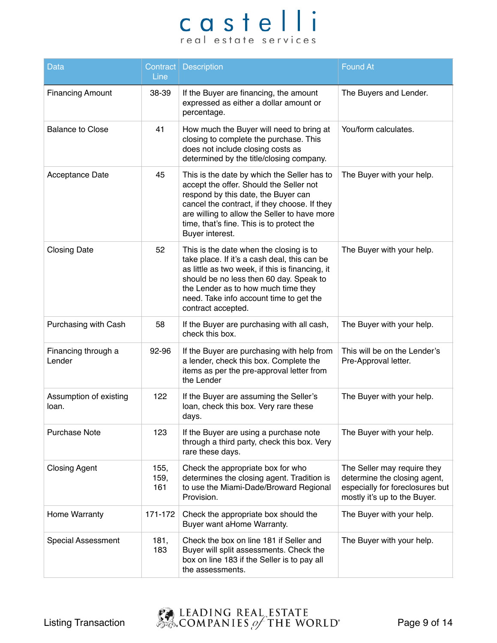| <b>Data</b>                     | Line                | Contract   Description                                                                                                                                                                                                                                                                        | <b>Found At</b>                                                                                                                |
|---------------------------------|---------------------|-----------------------------------------------------------------------------------------------------------------------------------------------------------------------------------------------------------------------------------------------------------------------------------------------|--------------------------------------------------------------------------------------------------------------------------------|
| <b>Financing Amount</b>         | 38-39               | If the Buyer are financing, the amount<br>expressed as either a dollar amount or<br>percentage.                                                                                                                                                                                               | The Buyers and Lender.                                                                                                         |
| <b>Balance to Close</b>         | 41                  | How much the Buyer will need to bring at<br>closing to complete the purchase. This<br>does not include closing costs as<br>determined by the title/closing company.                                                                                                                           | You/form calculates.                                                                                                           |
| <b>Acceptance Date</b>          | 45                  | This is the date by which the Seller has to<br>accept the offer. Should the Seller not<br>respond by this date, the Buyer can<br>cancel the contract, if they choose. If they<br>are willing to allow the Seller to have more<br>time, that's fine. This is to protect the<br>Buyer interest. | The Buyer with your help.                                                                                                      |
| <b>Closing Date</b>             | 52                  | This is the date when the closing is to<br>take place. If it's a cash deal, this can be<br>as little as two week, if this is financing, it<br>should be no less then 60 day. Speak to<br>the Lender as to how much time they<br>need. Take info account time to get the<br>contract accepted. | The Buyer with your help.                                                                                                      |
| Purchasing with Cash            | 58                  | If the Buyer are purchasing with all cash,<br>check this box.                                                                                                                                                                                                                                 | The Buyer with your help.                                                                                                      |
| Financing through a<br>Lender   | 92-96               | If the Buyer are purchasing with help from<br>a lender, check this box. Complete the<br>items as per the pre-approval letter from<br>the Lender                                                                                                                                               | This will be on the Lender's<br>Pre-Approval letter.                                                                           |
| Assumption of existing<br>loan. | 122                 | If the Buyer are assuming the Seller's<br>loan, check this box. Very rare these<br>days.                                                                                                                                                                                                      | The Buyer with your help.                                                                                                      |
| <b>Purchase Note</b>            | 123                 | If the Buyer are using a purchase note<br>through a third party, check this box. Very<br>rare these days.                                                                                                                                                                                     | The Buyer with your help.                                                                                                      |
| <b>Closing Agent</b>            | 155,<br>159,<br>161 | Check the appropriate box for who<br>determines the closing agent. Tradition is<br>to use the Miami-Dade/Broward Regional<br>Provision.                                                                                                                                                       | The Seller may require they<br>determine the closing agent,<br>especially for foreclosures but<br>mostly it's up to the Buyer. |
| Home Warranty                   | 171-172             | Check the appropriate box should the<br>Buyer want aHome Warranty.                                                                                                                                                                                                                            | The Buyer with your help.                                                                                                      |
| <b>Special Assessment</b>       | 181,<br>183         | Check the box on line 181 if Seller and<br>Buyer will split assessments. Check the<br>box on line 183 if the Seller is to pay all<br>the assessments.                                                                                                                                         | The Buyer with your help.                                                                                                      |

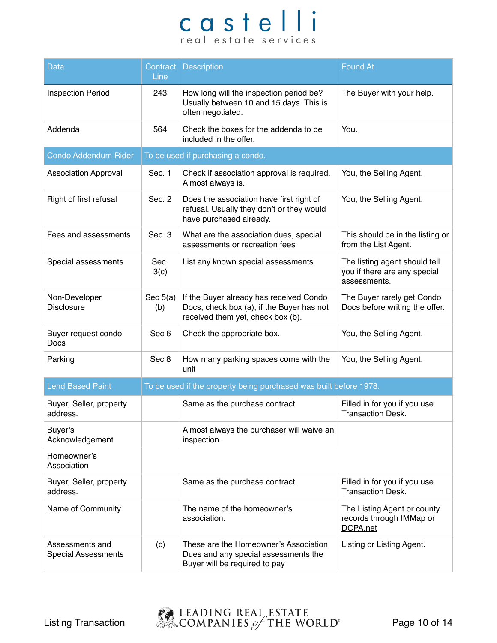| <b>Data</b>                                   | Contract  <br>Line | <b>Description</b>                                                                                                        | <b>Found At</b>                                                               |
|-----------------------------------------------|--------------------|---------------------------------------------------------------------------------------------------------------------------|-------------------------------------------------------------------------------|
| <b>Inspection Period</b>                      | 243                | How long will the inspection period be?<br>Usually between 10 and 15 days. This is<br>often negotiated.                   | The Buyer with your help.                                                     |
| Addenda                                       | 564                | Check the boxes for the addenda to be<br>included in the offer.                                                           | You.                                                                          |
| <b>Condo Addendum Rider</b>                   |                    | To be used if purchasing a condo.                                                                                         |                                                                               |
| <b>Association Approval</b>                   | Sec. 1             | Check if association approval is required.<br>Almost always is.                                                           | You, the Selling Agent.                                                       |
| Right of first refusal                        | Sec. 2             | Does the association have first right of<br>refusal. Usually they don't or they would<br>have purchased already.          | You, the Selling Agent.                                                       |
| Fees and assessments                          | Sec. 3             | What are the association dues, special<br>assessments or recreation fees                                                  | This should be in the listing or<br>from the List Agent.                      |
| Special assessments                           | Sec.<br>3(c)       | List any known special assessments.                                                                                       | The listing agent should tell<br>you if there are any special<br>assessments. |
| Non-Developer<br><b>Disclosure</b>            | Sec $5(a)$<br>(b)  | If the Buyer already has received Condo<br>Docs, check box (a), if the Buyer has not<br>received them yet, check box (b). | The Buyer rarely get Condo<br>Docs before writing the offer.                  |
| Buyer request condo<br><b>Docs</b>            | Sec 6              | Check the appropriate box.                                                                                                | You, the Selling Agent.                                                       |
| Parking                                       | Sec 8              | How many parking spaces come with the<br>unit                                                                             | You, the Selling Agent.                                                       |
| <b>Lend Based Paint</b>                       |                    | To be used if the property being purchased was built before 1978.                                                         |                                                                               |
| Buyer, Seller, property<br>address.           |                    | Same as the purchase contract.                                                                                            | Filled in for you if you use<br>Transaction Desk.                             |
| Buyer's<br>Acknowledgement                    |                    | Almost always the purchaser will waive an<br>inspection.                                                                  |                                                                               |
| Homeowner's<br>Association                    |                    |                                                                                                                           |                                                                               |
| Buyer, Seller, property<br>address.           |                    | Same as the purchase contract.                                                                                            | Filled in for you if you use<br><b>Transaction Desk.</b>                      |
| Name of Community                             |                    | The name of the homeowner's<br>association.                                                                               | The Listing Agent or county<br>records through IMMap or<br>DCPA.net           |
| Assessments and<br><b>Special Assessments</b> | (c)                | These are the Homeowner's Association<br>Dues and any special assessments the<br>Buyer will be required to pay            | Listing or Listing Agent.                                                     |

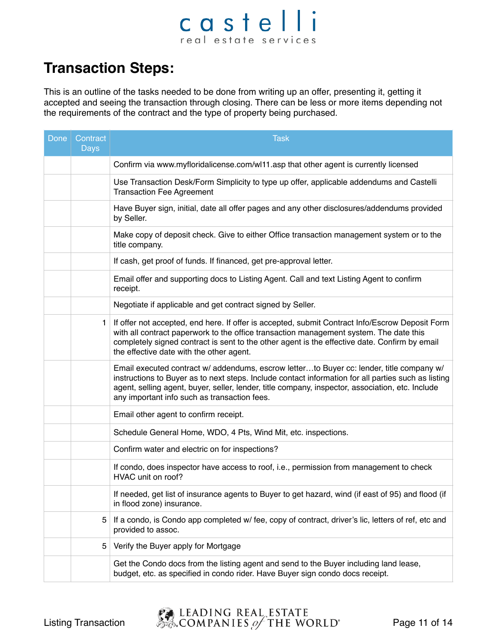### castelli real estate services

#### **Transaction Steps:**

This is an outline of the tasks needed to be done from writing up an offer, presenting it, getting it accepted and seeing the transaction through closing. There can be less or more items depending not the requirements of the contract and the type of property being purchased.

| Done $ $ | Contract<br><b>Days</b> | <b>Task</b>                                                                                                                                                                                                                                                                                                                                         |
|----------|-------------------------|-----------------------------------------------------------------------------------------------------------------------------------------------------------------------------------------------------------------------------------------------------------------------------------------------------------------------------------------------------|
|          |                         | Confirm via www.myfloridalicense.com/wl11.asp that other agent is currently licensed                                                                                                                                                                                                                                                                |
|          |                         | Use Transaction Desk/Form Simplicity to type up offer, applicable addendums and Castelli<br><b>Transaction Fee Agreement</b>                                                                                                                                                                                                                        |
|          |                         | Have Buyer sign, initial, date all offer pages and any other disclosures/addendums provided<br>by Seller.                                                                                                                                                                                                                                           |
|          |                         | Make copy of deposit check. Give to either Office transaction management system or to the<br>title company.                                                                                                                                                                                                                                         |
|          |                         | If cash, get proof of funds. If financed, get pre-approval letter.                                                                                                                                                                                                                                                                                  |
|          |                         | Email offer and supporting docs to Listing Agent. Call and text Listing Agent to confirm<br>receipt.                                                                                                                                                                                                                                                |
|          |                         | Negotiate if applicable and get contract signed by Seller.                                                                                                                                                                                                                                                                                          |
|          | 1.                      | If offer not accepted, end here. If offer is accepted, submit Contract Info/Escrow Deposit Form<br>with all contract paperwork to the office transaction management system. The date this<br>completely signed contract is sent to the other agent is the effective date. Confirm by email<br>the effective date with the other agent.              |
|          |                         | Email executed contract w/ addendums, escrow letterto Buyer cc: lender, title company w/<br>instructions to Buyer as to next steps. Include contact information for all parties such as listing<br>agent, selling agent, buyer, seller, lender, title company, inspector, association, etc. Include<br>any important info such as transaction fees. |
|          |                         | Email other agent to confirm receipt.                                                                                                                                                                                                                                                                                                               |
|          |                         | Schedule General Home, WDO, 4 Pts, Wind Mit, etc. inspections.                                                                                                                                                                                                                                                                                      |
|          |                         | Confirm water and electric on for inspections?                                                                                                                                                                                                                                                                                                      |
|          |                         | If condo, does inspector have access to roof, i.e., permission from management to check<br>HVAC unit on roof?                                                                                                                                                                                                                                       |
|          |                         | If needed, get list of insurance agents to Buyer to get hazard, wind (if east of 95) and flood (if<br>in flood zone) insurance.                                                                                                                                                                                                                     |
|          | 5                       | If a condo, is Condo app completed w/ fee, copy of contract, driver's lic, letters of ref, etc and<br>provided to assoc.                                                                                                                                                                                                                            |
|          | 5                       | Verify the Buyer apply for Mortgage                                                                                                                                                                                                                                                                                                                 |
|          |                         | Get the Condo docs from the listing agent and send to the Buyer including land lease,<br>budget, etc. as specified in condo rider. Have Buyer sign condo docs receipt.                                                                                                                                                                              |

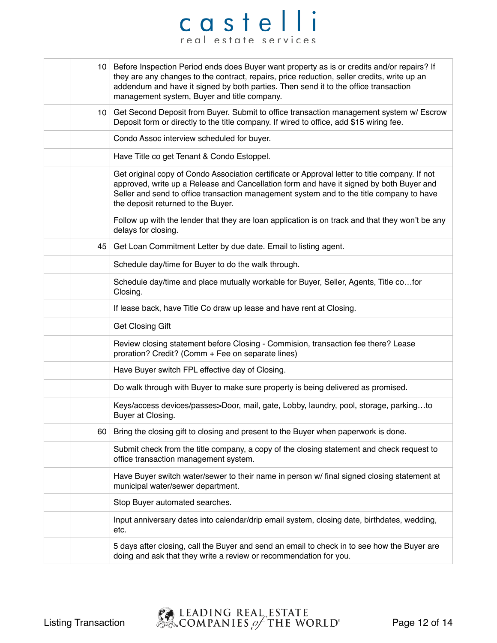|    | 10 Before Inspection Period ends does Buyer want property as is or credits and/or repairs? If<br>they are any changes to the contract, repairs, price reduction, seller credits, write up an<br>addendum and have it signed by both parties. Then send it to the office transaction<br>management system, Buyer and title company. |
|----|------------------------------------------------------------------------------------------------------------------------------------------------------------------------------------------------------------------------------------------------------------------------------------------------------------------------------------|
|    | 10 Get Second Deposit from Buyer. Submit to office transaction management system w/ Escrow<br>Deposit form or directly to the title company. If wired to office, add \$15 wiring fee.                                                                                                                                              |
|    | Condo Assoc interview scheduled for buyer.                                                                                                                                                                                                                                                                                         |
|    | Have Title co get Tenant & Condo Estoppel.                                                                                                                                                                                                                                                                                         |
|    | Get original copy of Condo Association certificate or Approval letter to title company. If not<br>approved, write up a Release and Cancellation form and have it signed by both Buyer and<br>Seller and send to office transaction management system and to the title company to have<br>the deposit returned to the Buyer.        |
|    | Follow up with the lender that they are loan application is on track and that they won't be any<br>delays for closing.                                                                                                                                                                                                             |
| 45 | Get Loan Commitment Letter by due date. Email to listing agent.                                                                                                                                                                                                                                                                    |
|    | Schedule day/time for Buyer to do the walk through.                                                                                                                                                                                                                                                                                |
|    | Schedule day/time and place mutually workable for Buyer, Seller, Agents, Title cofor<br>Closing.                                                                                                                                                                                                                                   |
|    | If lease back, have Title Co draw up lease and have rent at Closing.                                                                                                                                                                                                                                                               |
|    | <b>Get Closing Gift</b>                                                                                                                                                                                                                                                                                                            |
|    | Review closing statement before Closing - Commision, transaction fee there? Lease<br>proration? Credit? (Comm + Fee on separate lines)                                                                                                                                                                                             |
|    | Have Buyer switch FPL effective day of Closing.                                                                                                                                                                                                                                                                                    |
|    | Do walk through with Buyer to make sure property is being delivered as promised.                                                                                                                                                                                                                                                   |
|    | Keys/access devices/passes>Door, mail, gate, Lobby, laundry, pool, storage, parkingto<br>Buyer at Closing.                                                                                                                                                                                                                         |
| 60 | Bring the closing gift to closing and present to the Buyer when paperwork is done.                                                                                                                                                                                                                                                 |
|    | Submit check from the title company, a copy of the closing statement and check request to<br>office transaction management system.                                                                                                                                                                                                 |
|    | Have Buyer switch water/sewer to their name in person w/ final signed closing statement at<br>municipal water/sewer department.                                                                                                                                                                                                    |
|    | Stop Buyer automated searches.                                                                                                                                                                                                                                                                                                     |
|    | Input anniversary dates into calendar/drip email system, closing date, birthdates, wedding,<br>etc.                                                                                                                                                                                                                                |
|    | 5 days after closing, call the Buyer and send an email to check in to see how the Buyer are<br>doing and ask that they write a review or recommendation for you.                                                                                                                                                                   |

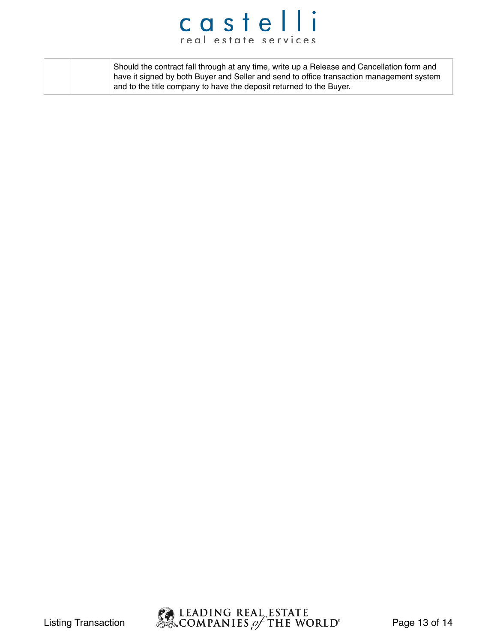|  | Should the contract fall through at any time, write up a Release and Cancellation form and<br>have it signed by both Buyer and Seller and send to office transaction management system |
|--|----------------------------------------------------------------------------------------------------------------------------------------------------------------------------------------|
|  | and to the title company to have the deposit returned to the Buyer.                                                                                                                    |